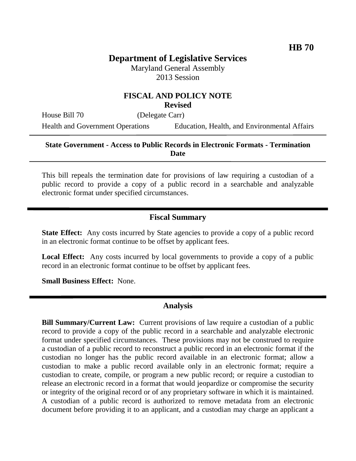# **Department of Legislative Services**

Maryland General Assembly 2013 Session

#### **FISCAL AND POLICY NOTE Revised**

House Bill 70 (Delegate Carr)

Health and Government Operations Education, Health, and Environmental Affairs

#### **State Government - Access to Public Records in Electronic Formats - Termination Date**

This bill repeals the termination date for provisions of law requiring a custodian of a public record to provide a copy of a public record in a searchable and analyzable electronic format under specified circumstances.

### **Fiscal Summary**

**State Effect:** Any costs incurred by State agencies to provide a copy of a public record in an electronic format continue to be offset by applicant fees.

**Local Effect:** Any costs incurred by local governments to provide a copy of a public record in an electronic format continue to be offset by applicant fees.

**Small Business Effect:** None.

#### **Analysis**

**Bill Summary/Current Law:** Current provisions of law require a custodian of a public record to provide a copy of the public record in a searchable and analyzable electronic format under specified circumstances. These provisions may not be construed to require a custodian of a public record to reconstruct a public record in an electronic format if the custodian no longer has the public record available in an electronic format; allow a custodian to make a public record available only in an electronic format; require a custodian to create, compile, or program a new public record; or require a custodian to release an electronic record in a format that would jeopardize or compromise the security or integrity of the original record or of any proprietary software in which it is maintained. A custodian of a public record is authorized to remove metadata from an electronic document before providing it to an applicant, and a custodian may charge an applicant a